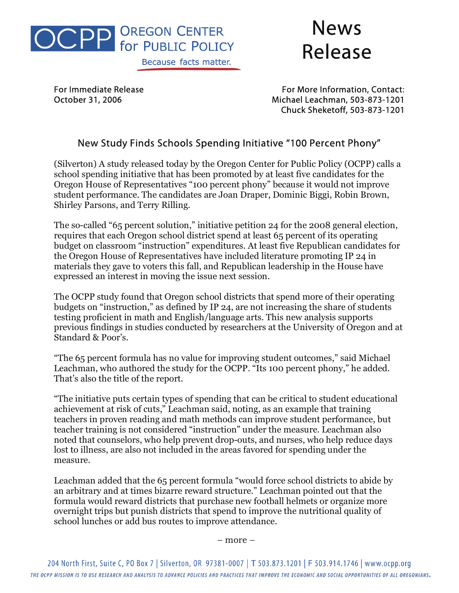

## News Release

For Immediate Release **For More Information, Contact:** October 31, 2006 Michael Leachman, 503-873-1201 Chuck Sheketoff, 503-873-1201

## New Study Finds Schools Spending Initiative "100 Percent Phony"

(Silverton) A study released today by the Oregon Center for Public Policy (OCPP) calls a school spending initiative that has been promoted by at least five candidates for the Oregon House of Representatives "100 percent phony" because it would not improve student performance. The candidates are Joan Draper, Dominic Biggi, Robin Brown, Shirley Parsons, and Terry Rilling.

The so-called "65 percent solution," initiative petition 24 for the 2008 general election, requires that each Oregon school district spend at least 65 percent of its operating budget on classroom "instruction" expenditures. At least five Republican candidates for the Oregon House of Representatives have included literature promoting IP 24 in materials they gave to voters this fall, and Republican leadership in the House have expressed an interest in moving the issue next session.

The OCPP study found that Oregon school districts that spend more of their operating budgets on "instruction," as defined by IP 24, are not increasing the share of students testing proficient in math and English/language arts. This new analysis supports previous findings in studies conducted by researchers at the University of Oregon and at Standard & Poor's.

"The 65 percent formula has no value for improving student outcomes," said Michael Leachman, who authored the study for the OCPP. "Its 100 percent phony," he added. That's also the title of the report.

"The initiative puts certain types of spending that can be critical to student educational achievement at risk of cuts," Leachman said, noting, as an example that training teachers in proven reading and math methods can improve student performance, but teacher training is not considered "instruction" under the measure. Leachman also noted that counselors, who help prevent drop-outs, and nurses, who help reduce days lost to illness, are also not included in the areas favored for spending under the measure.

Leachman added that the 65 percent formula "would force school districts to abide by an arbitrary and at times bizarre reward structure." Leachman pointed out that the formula would reward districts that purchase new football helmets or organize more overnight trips but punish districts that spend to improve the nutritional quality of school lunches or add bus routes to improve attendance.

– more –